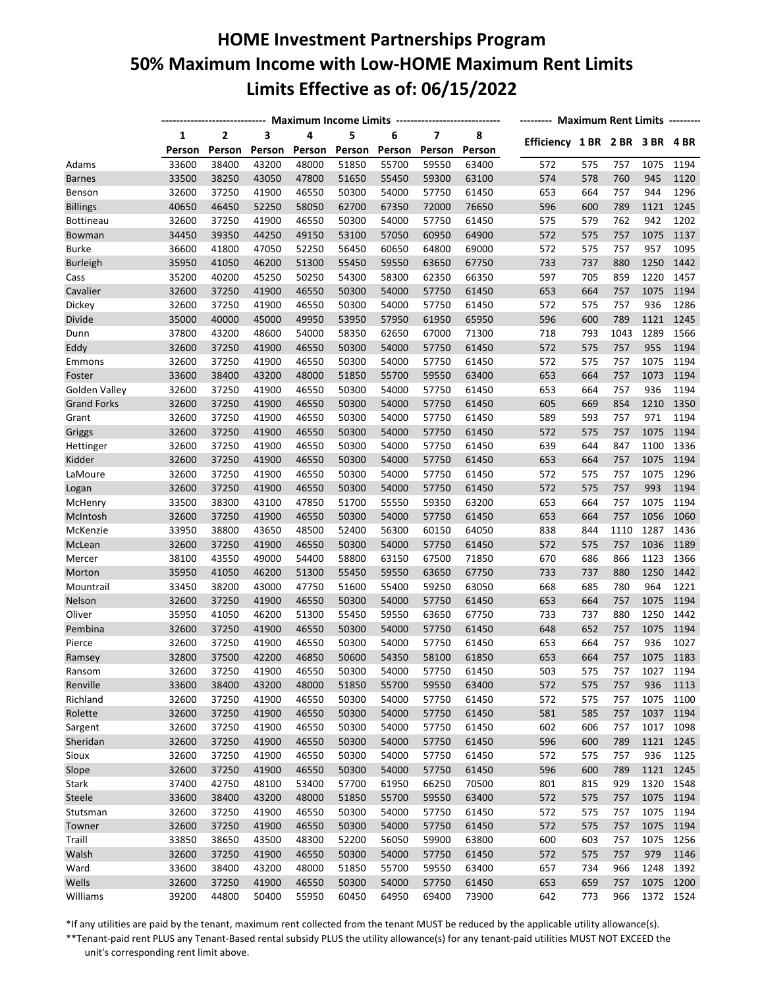## **HOME Investment Partnerships Program 50% Maximum Income with Low-HOME Maximum Rent Limits Limits Effective as of: 06/15/2022**

|                    | ---------------------------- Maximum Income Limits ----------------------------- |                |        | -------- Maximum Rent Limits -------- |        |        |                         |        |                                |     |      |           |      |
|--------------------|----------------------------------------------------------------------------------|----------------|--------|---------------------------------------|--------|--------|-------------------------|--------|--------------------------------|-----|------|-----------|------|
|                    | 1                                                                                | $\overline{2}$ | 3      | 4                                     | 5      | 6      | $\overline{\mathbf{z}}$ | 8      |                                |     |      |           |      |
|                    | Person                                                                           | Person         | Person | Person                                | Person | Person | Person                  | Person | Efficiency 1 BR 2 BR 3 BR 4 BR |     |      |           |      |
| Adams              | 33600                                                                            | 38400          | 43200  | 48000                                 | 51850  | 55700  | 59550                   | 63400  | 572                            | 575 | 757  | 1075      | 1194 |
| <b>Barnes</b>      | 33500                                                                            | 38250          | 43050  | 47800                                 | 51650  | 55450  | 59300                   | 63100  | 574                            | 578 | 760  | 945       | 1120 |
| Benson             | 32600                                                                            | 37250          | 41900  | 46550                                 | 50300  | 54000  | 57750                   | 61450  | 653                            | 664 | 757  | 944       | 1296 |
| <b>Billings</b>    | 40650                                                                            | 46450          | 52250  | 58050                                 | 62700  | 67350  | 72000                   | 76650  | 596                            | 600 | 789  | 1121      | 1245 |
| <b>Bottineau</b>   | 32600                                                                            | 37250          | 41900  | 46550                                 | 50300  | 54000  | 57750                   | 61450  | 575                            | 579 | 762  | 942       | 1202 |
| Bowman             | 34450                                                                            | 39350          | 44250  | 49150                                 | 53100  | 57050  | 60950                   | 64900  | 572                            | 575 | 757  | 1075      | 1137 |
| <b>Burke</b>       | 36600                                                                            | 41800          | 47050  | 52250                                 | 56450  | 60650  | 64800                   | 69000  | 572                            | 575 | 757  | 957       | 1095 |
| <b>Burleigh</b>    | 35950                                                                            | 41050          | 46200  | 51300                                 | 55450  | 59550  | 63650                   | 67750  | 733                            | 737 | 880  | 1250      | 1442 |
| Cass               | 35200                                                                            | 40200          | 45250  | 50250                                 | 54300  | 58300  | 62350                   | 66350  | 597                            | 705 | 859  | 1220      | 1457 |
| Cavalier           | 32600                                                                            | 37250          | 41900  | 46550                                 | 50300  | 54000  | 57750                   | 61450  | 653                            | 664 | 757  | 1075      | 1194 |
| Dickey             | 32600                                                                            | 37250          | 41900  | 46550                                 | 50300  | 54000  | 57750                   | 61450  | 572                            | 575 | 757  | 936       | 1286 |
| Divide             | 35000                                                                            | 40000          | 45000  | 49950                                 | 53950  | 57950  | 61950                   | 65950  | 596                            | 600 | 789  | 1121      | 1245 |
| Dunn               | 37800                                                                            | 43200          | 48600  | 54000                                 | 58350  | 62650  | 67000                   | 71300  | 718                            | 793 | 1043 | 1289      | 1566 |
| Eddy               | 32600                                                                            | 37250          | 41900  | 46550                                 | 50300  | 54000  | 57750                   | 61450  | 572                            | 575 | 757  | 955       | 1194 |
| Emmons             | 32600                                                                            | 37250          | 41900  | 46550                                 | 50300  | 54000  | 57750                   | 61450  | 572                            | 575 | 757  | 1075      | 1194 |
| Foster             | 33600                                                                            | 38400          | 43200  | 48000                                 | 51850  | 55700  | 59550                   | 63400  | 653                            | 664 | 757  | 1073      | 1194 |
| Golden Valley      | 32600                                                                            | 37250          | 41900  | 46550                                 | 50300  | 54000  | 57750                   | 61450  | 653                            | 664 | 757  | 936       | 1194 |
| <b>Grand Forks</b> | 32600                                                                            | 37250          | 41900  | 46550                                 | 50300  | 54000  | 57750                   | 61450  | 605                            | 669 | 854  | 1210      | 1350 |
| Grant              | 32600                                                                            | 37250          | 41900  | 46550                                 | 50300  | 54000  | 57750                   | 61450  | 589                            | 593 | 757  | 971       | 1194 |
| Griggs             | 32600                                                                            | 37250          | 41900  | 46550                                 | 50300  | 54000  | 57750                   | 61450  | 572                            | 575 | 757  | 1075      | 1194 |
| Hettinger          | 32600                                                                            | 37250          | 41900  | 46550                                 | 50300  | 54000  | 57750                   | 61450  | 639                            | 644 | 847  | 1100      | 1336 |
| Kidder             | 32600                                                                            | 37250          | 41900  | 46550                                 | 50300  | 54000  | 57750                   | 61450  | 653                            | 664 | 757  | 1075      | 1194 |
| LaMoure            | 32600                                                                            | 37250          | 41900  | 46550                                 | 50300  | 54000  | 57750                   | 61450  | 572                            | 575 | 757  | 1075      | 1296 |
| Logan              | 32600                                                                            | 37250          | 41900  | 46550                                 | 50300  | 54000  | 57750                   | 61450  | 572                            | 575 | 757  | 993       | 1194 |
| McHenry            | 33500                                                                            | 38300          | 43100  | 47850                                 | 51700  | 55550  | 59350                   | 63200  | 653                            | 664 | 757  | 1075      | 1194 |
| McIntosh           | 32600                                                                            | 37250          | 41900  | 46550                                 | 50300  | 54000  | 57750                   | 61450  | 653                            | 664 | 757  | 1056      | 1060 |
| McKenzie           | 33950                                                                            | 38800          | 43650  | 48500                                 | 52400  | 56300  | 60150                   | 64050  | 838                            | 844 | 1110 | 1287      | 1436 |
| McLean             | 32600                                                                            | 37250          | 41900  | 46550                                 | 50300  | 54000  | 57750                   | 61450  | 572                            | 575 | 757  | 1036      | 1189 |
| Mercer             | 38100                                                                            | 43550          | 49000  | 54400                                 | 58800  | 63150  | 67500                   | 71850  | 670                            | 686 | 866  | 1123      | 1366 |
| Morton             | 35950                                                                            | 41050          | 46200  | 51300                                 | 55450  | 59550  | 63650                   | 67750  | 733                            | 737 | 880  | 1250      | 1442 |
| Mountrail          | 33450                                                                            | 38200          | 43000  | 47750                                 | 51600  | 55400  | 59250                   | 63050  | 668                            | 685 | 780  | 964       | 1221 |
| Nelson             | 32600                                                                            | 37250          | 41900  | 46550                                 | 50300  | 54000  | 57750                   | 61450  | 653                            | 664 | 757  | 1075      | 1194 |
| Oliver             | 35950                                                                            | 41050          | 46200  | 51300                                 | 55450  | 59550  | 63650                   | 67750  | 733                            | 737 | 880  | 1250      | 1442 |
| Pembina            | 32600                                                                            | 37250          | 41900  | 46550                                 | 50300  | 54000  | 57750                   | 61450  | 648                            | 652 | 757  | 1075      | 1194 |
|                    | 32600                                                                            | 37250          | 41900  | 46550                                 | 50300  | 54000  | 57750                   | 61450  | 653                            | 664 | 757  | 936       | 1027 |
| Pierce             | 32800                                                                            | 37500          | 42200  | 46850                                 | 50600  | 54350  | 58100                   | 61850  | 653                            | 664 | 757  | 1075      | 1183 |
| Ramsey             | 32600                                                                            | 37250          | 41900  | 46550                                 | 50300  | 54000  | 57750                   | 61450  | 503                            | 575 | 757  | 1027      | 1194 |
| Ransom             |                                                                                  |                |        |                                       |        |        |                         |        |                                |     |      |           |      |
| Renville           | 33600                                                                            | 38400          | 43200  | 48000                                 | 51850  | 55700  | 59550                   | 63400  | 572                            | 575 | 757  | 936       | 1113 |
| Richland           | 32600                                                                            | 37250          | 41900  | 46550                                 | 50300  | 54000  | 57750                   | 61450  | 572                            | 575 | 757  | 1075      | 1100 |
| Rolette            | 32600                                                                            | 37250          | 41900  | 46550                                 | 50300  | 54000  | 57750                   | 61450  | 581                            | 585 | 757  | 1037      | 1194 |
| Sargent            | 32600                                                                            | 37250          | 41900  | 46550                                 | 50300  | 54000  | 57750                   | 61450  | 602                            | 606 | 757  | 1017      | 1098 |
| Sheridan           | 32600                                                                            | 37250          | 41900  | 46550                                 | 50300  | 54000  | 57750                   | 61450  | 596                            | 600 | 789  | 1121      | 1245 |
| Sioux              | 32600                                                                            | 37250          | 41900  | 46550                                 | 50300  | 54000  | 57750                   | 61450  | 572                            | 575 | 757  | 936       | 1125 |
| Slope              | 32600                                                                            | 37250          | 41900  | 46550                                 | 50300  | 54000  | 57750                   | 61450  | 596                            | 600 | 789  | 1121      | 1245 |
| Stark              | 37400                                                                            | 42750          | 48100  | 53400                                 | 57700  | 61950  | 66250                   | 70500  | 801                            | 815 | 929  | 1320      | 1548 |
| Steele             | 33600                                                                            | 38400          | 43200  | 48000                                 | 51850  | 55700  | 59550                   | 63400  | 572                            | 575 | 757  | 1075      | 1194 |
| Stutsman           | 32600                                                                            | 37250          | 41900  | 46550                                 | 50300  | 54000  | 57750                   | 61450  | 572                            | 575 | 757  | 1075      | 1194 |
| Towner             | 32600                                                                            | 37250          | 41900  | 46550                                 | 50300  | 54000  | 57750                   | 61450  | 572                            | 575 | 757  | 1075      | 1194 |
| Traill             | 33850                                                                            | 38650          | 43500  | 48300                                 | 52200  | 56050  | 59900                   | 63800  | 600                            | 603 | 757  | 1075      | 1256 |
| Walsh              | 32600                                                                            | 37250          | 41900  | 46550                                 | 50300  | 54000  | 57750                   | 61450  | 572                            | 575 | 757  | 979       | 1146 |
| Ward               | 33600                                                                            | 38400          | 43200  | 48000                                 | 51850  | 55700  | 59550                   | 63400  | 657                            | 734 | 966  | 1248      | 1392 |
| Wells              | 32600                                                                            | 37250          | 41900  | 46550                                 | 50300  | 54000  | 57750                   | 61450  | 653                            | 659 | 757  | 1075      | 1200 |
| Williams           | 39200                                                                            | 44800          | 50400  | 55950                                 | 60450  | 64950  | 69400                   | 73900  | 642                            | 773 | 966  | 1372 1524 |      |

\*If any utilities are paid by the tenant, maximum rent collected from the tenant MUST be reduced by the applicable utility allowance(s).

\*\*Tenant-paid rent PLUS any Tenant-Based rental subsidy PLUS the utility allowance(s) for any tenant-paid utilities MUST NOT EXCEED the unit's corresponding rent limit above.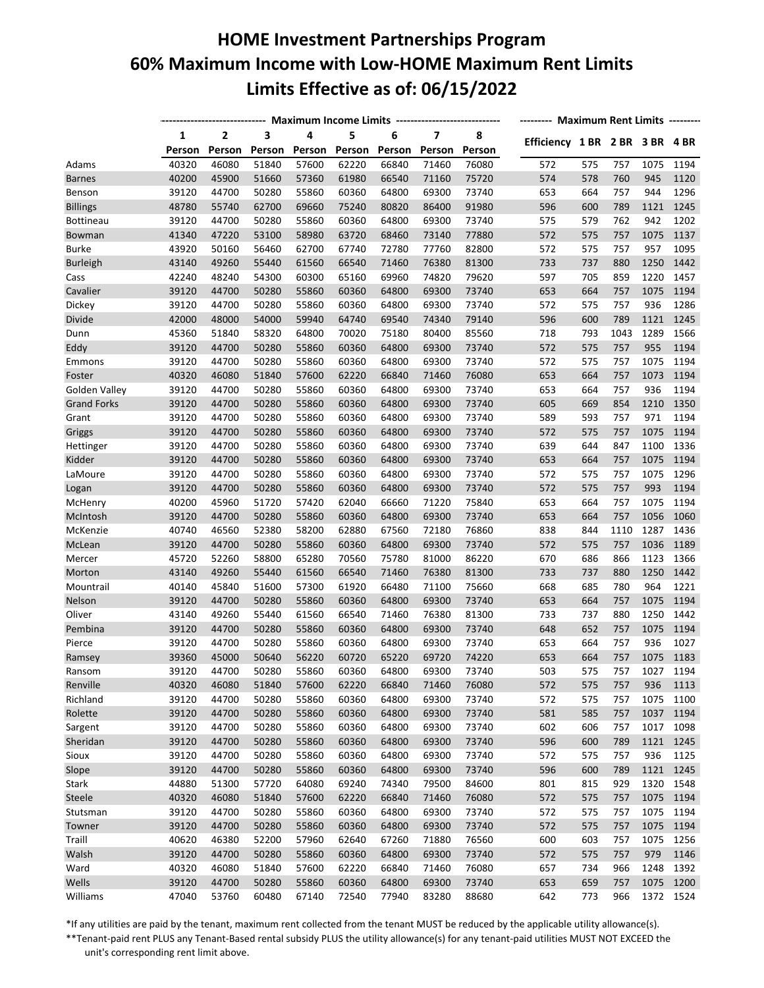## **HOME Investment Partnerships Program 60% Maximum Income with Low-HOME Maximum Rent Limits Limits Effective as of: 06/15/2022**

|                    | ----------------------------- | Maximum Income Limits ---------------------------- | -------- Maximum Rent Limits -------- |        |        |        |                         |        |                                |     |      |           |      |
|--------------------|-------------------------------|----------------------------------------------------|---------------------------------------|--------|--------|--------|-------------------------|--------|--------------------------------|-----|------|-----------|------|
|                    | 1                             | $\overline{2}$                                     | 3                                     | 4      | 5      | 6      | $\overline{\mathbf{z}}$ | 8      |                                |     |      |           |      |
|                    | Person                        | Person                                             | Person                                | Person | Person | Person | Person                  | Person | Efficiency 1 BR 2 BR 3 BR 4 BR |     |      |           |      |
| Adams              | 40320                         | 46080                                              | 51840                                 | 57600  | 62220  | 66840  | 71460                   | 76080  | 572                            | 575 | 757  | 1075      | 1194 |
| <b>Barnes</b>      | 40200                         | 45900                                              | 51660                                 | 57360  | 61980  | 66540  | 71160                   | 75720  | 574                            | 578 | 760  | 945       | 1120 |
| Benson             | 39120                         | 44700                                              | 50280                                 | 55860  | 60360  | 64800  | 69300                   | 73740  | 653                            | 664 | 757  | 944       | 1296 |
| <b>Billings</b>    | 48780                         | 55740                                              | 62700                                 | 69660  | 75240  | 80820  | 86400                   | 91980  | 596                            | 600 | 789  | 1121      | 1245 |
| <b>Bottineau</b>   | 39120                         | 44700                                              | 50280                                 | 55860  | 60360  | 64800  | 69300                   | 73740  | 575                            | 579 | 762  | 942       | 1202 |
| Bowman             | 41340                         | 47220                                              | 53100                                 | 58980  | 63720  | 68460  | 73140                   | 77880  | 572                            | 575 | 757  | 1075      | 1137 |
| <b>Burke</b>       | 43920                         | 50160                                              | 56460                                 | 62700  | 67740  | 72780  | 77760                   | 82800  | 572                            | 575 | 757  | 957       | 1095 |
| <b>Burleigh</b>    | 43140                         | 49260                                              | 55440                                 | 61560  | 66540  | 71460  | 76380                   | 81300  | 733                            | 737 | 880  | 1250      | 1442 |
| Cass               | 42240                         | 48240                                              | 54300                                 | 60300  | 65160  | 69960  | 74820                   | 79620  | 597                            | 705 | 859  | 1220      | 1457 |
| Cavalier           | 39120                         | 44700                                              | 50280                                 | 55860  | 60360  | 64800  | 69300                   | 73740  | 653                            | 664 | 757  | 1075      | 1194 |
| Dickey             | 39120                         | 44700                                              | 50280                                 | 55860  | 60360  | 64800  | 69300                   | 73740  | 572                            | 575 | 757  | 936       | 1286 |
| Divide             | 42000                         | 48000                                              | 54000                                 | 59940  | 64740  | 69540  | 74340                   | 79140  | 596                            | 600 | 789  | 1121      | 1245 |
| Dunn               | 45360                         | 51840                                              | 58320                                 | 64800  | 70020  | 75180  | 80400                   | 85560  | 718                            | 793 | 1043 | 1289      | 1566 |
| Eddy               | 39120                         | 44700                                              | 50280                                 | 55860  | 60360  | 64800  | 69300                   | 73740  | 572                            | 575 | 757  | 955       | 1194 |
| Emmons             | 39120                         | 44700                                              | 50280                                 | 55860  | 60360  | 64800  | 69300                   | 73740  | 572                            | 575 | 757  | 1075      | 1194 |
| Foster             | 40320                         | 46080                                              | 51840                                 | 57600  | 62220  | 66840  | 71460                   | 76080  | 653                            | 664 | 757  | 1073      | 1194 |
| Golden Valley      | 39120                         | 44700                                              | 50280                                 | 55860  | 60360  | 64800  | 69300                   | 73740  | 653                            | 664 | 757  | 936       | 1194 |
| <b>Grand Forks</b> | 39120                         | 44700                                              | 50280                                 | 55860  | 60360  | 64800  | 69300                   | 73740  | 605                            | 669 | 854  | 1210      | 1350 |
| Grant              | 39120                         | 44700                                              | 50280                                 | 55860  | 60360  | 64800  | 69300                   | 73740  | 589                            | 593 | 757  | 971       | 1194 |
| Griggs             | 39120                         | 44700                                              | 50280                                 | 55860  | 60360  | 64800  | 69300                   | 73740  | 572                            | 575 | 757  | 1075      | 1194 |
| Hettinger          | 39120                         | 44700                                              | 50280                                 | 55860  | 60360  | 64800  | 69300                   | 73740  | 639                            | 644 | 847  | 1100      | 1336 |
| Kidder             | 39120                         | 44700                                              | 50280                                 | 55860  | 60360  | 64800  | 69300                   | 73740  | 653                            | 664 | 757  | 1075      | 1194 |
| LaMoure            | 39120                         | 44700                                              | 50280                                 | 55860  | 60360  | 64800  | 69300                   | 73740  | 572                            | 575 | 757  | 1075      | 1296 |
| Logan              | 39120                         | 44700                                              | 50280                                 | 55860  | 60360  | 64800  | 69300                   | 73740  | 572                            | 575 | 757  | 993       | 1194 |
| McHenry            | 40200                         | 45960                                              | 51720                                 | 57420  | 62040  | 66660  | 71220                   | 75840  | 653                            | 664 | 757  | 1075      | 1194 |
| McIntosh           | 39120                         | 44700                                              | 50280                                 | 55860  | 60360  | 64800  | 69300                   | 73740  | 653                            | 664 | 757  | 1056      | 1060 |
| McKenzie           | 40740                         | 46560                                              | 52380                                 | 58200  | 62880  | 67560  | 72180                   | 76860  | 838                            | 844 | 1110 | 1287      | 1436 |
| McLean             | 39120                         | 44700                                              | 50280                                 | 55860  | 60360  | 64800  | 69300                   | 73740  | 572                            | 575 | 757  | 1036      | 1189 |
| Mercer             | 45720                         | 52260                                              | 58800                                 | 65280  | 70560  | 75780  | 81000                   | 86220  | 670                            | 686 | 866  | 1123      | 1366 |
| Morton             | 43140                         | 49260                                              | 55440                                 | 61560  | 66540  | 71460  | 76380                   | 81300  | 733                            | 737 | 880  | 1250      | 1442 |
| Mountrail          | 40140                         | 45840                                              | 51600                                 | 57300  | 61920  | 66480  | 71100                   | 75660  | 668                            | 685 | 780  | 964       | 1221 |
| Nelson             | 39120                         | 44700                                              | 50280                                 | 55860  | 60360  | 64800  | 69300                   | 73740  | 653                            | 664 | 757  | 1075      | 1194 |
| Oliver             | 43140                         | 49260                                              | 55440                                 | 61560  | 66540  | 71460  | 76380                   | 81300  | 733                            | 737 | 880  | 1250      | 1442 |
| Pembina            | 39120                         | 44700                                              | 50280                                 | 55860  | 60360  | 64800  | 69300                   | 73740  | 648                            | 652 | 757  | 1075      | 1194 |
|                    | 39120                         | 44700                                              | 50280                                 | 55860  | 60360  | 64800  | 69300                   | 73740  | 653                            | 664 | 757  | 936       | 1027 |
| Pierce<br>Ramsey   | 39360                         | 45000                                              | 50640                                 | 56220  | 60720  | 65220  | 69720                   | 74220  | 653                            | 664 | 757  | 1075      | 1183 |
|                    | 39120                         | 44700                                              | 50280                                 | 55860  | 60360  | 64800  | 69300                   | 73740  | 503                            | 575 | 757  | 1027      | 1194 |
| Ransom             |                               |                                                    |                                       |        |        |        |                         |        |                                |     |      |           |      |
| Renville           | 40320                         | 46080                                              | 51840                                 | 57600  | 62220  | 66840  | 71460                   | 76080  | 572                            | 575 | 757  | 936       | 1113 |
| Richland           | 39120                         | 44700                                              | 50280                                 | 55860  | 60360  | 64800  | 69300                   | 73740  | 572                            | 575 | 757  | 1075      | 1100 |
| Rolette            | 39120                         | 44700                                              | 50280                                 | 55860  | 60360  | 64800  | 69300                   | 73740  | 581                            | 585 | 757  | 1037      | 1194 |
| Sargent            | 39120                         | 44700                                              | 50280                                 | 55860  | 60360  | 64800  | 69300                   | 73740  | 602                            | 606 | 757  | 1017      | 1098 |
| Sheridan           | 39120                         | 44700                                              | 50280                                 | 55860  | 60360  | 64800  | 69300                   | 73740  | 596                            | 600 | 789  | 1121      | 1245 |
| Sioux              | 39120                         | 44700                                              | 50280                                 | 55860  | 60360  | 64800  | 69300                   | 73740  | 572                            | 575 | 757  | 936       | 1125 |
| Slope              | 39120                         | 44700                                              | 50280                                 | 55860  | 60360  | 64800  | 69300                   | 73740  | 596                            | 600 | 789  | 1121      | 1245 |
| Stark              | 44880                         | 51300                                              | 57720                                 | 64080  | 69240  | 74340  | 79500                   | 84600  | 801                            | 815 | 929  | 1320      | 1548 |
| Steele             | 40320                         | 46080                                              | 51840                                 | 57600  | 62220  | 66840  | 71460                   | 76080  | 572                            | 575 | 757  | 1075      | 1194 |
| Stutsman           | 39120                         | 44700                                              | 50280                                 | 55860  | 60360  | 64800  | 69300                   | 73740  | 572                            | 575 | 757  | 1075      | 1194 |
| Towner             | 39120                         | 44700                                              | 50280                                 | 55860  | 60360  | 64800  | 69300                   | 73740  | 572                            | 575 | 757  | 1075      | 1194 |
| Traill             | 40620                         | 46380                                              | 52200                                 | 57960  | 62640  | 67260  | 71880                   | 76560  | 600                            | 603 | 757  | 1075      | 1256 |
| Walsh              | 39120                         | 44700                                              | 50280                                 | 55860  | 60360  | 64800  | 69300                   | 73740  | 572                            | 575 | 757  | 979       | 1146 |
| Ward               | 40320                         | 46080                                              | 51840                                 | 57600  | 62220  | 66840  | 71460                   | 76080  | 657                            | 734 | 966  | 1248      | 1392 |
| Wells              | 39120                         | 44700                                              | 50280                                 | 55860  | 60360  | 64800  | 69300                   | 73740  | 653                            | 659 | 757  | 1075      | 1200 |
| Williams           | 47040                         | 53760                                              | 60480                                 | 67140  | 72540  | 77940  | 83280                   | 88680  | 642                            | 773 | 966  | 1372 1524 |      |

\*If any utilities are paid by the tenant, maximum rent collected from the tenant MUST be reduced by the applicable utility allowance(s).

\*\*Tenant-paid rent PLUS any Tenant-Based rental subsidy PLUS the utility allowance(s) for any tenant-paid utilities MUST NOT EXCEED the unit's corresponding rent limit above.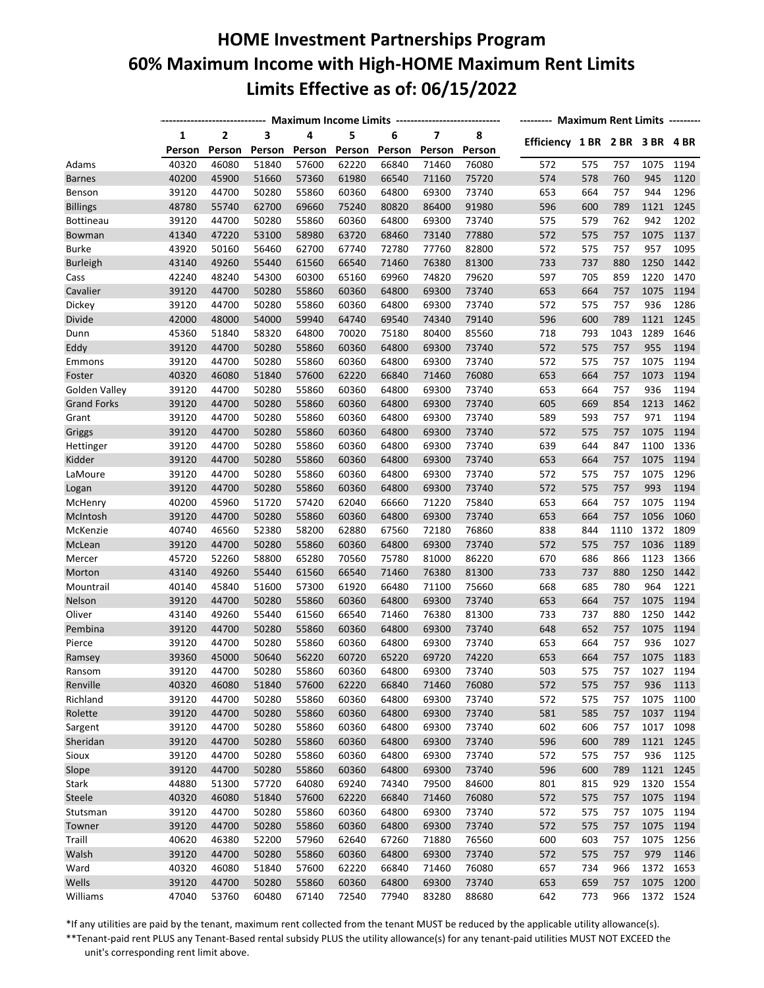# **HOME Investment Partnerships Program 60% Maximum Income with High-HOME Maximum Rent Limits Limits Effective as of: 06/15/2022**

|                    | ----------------------------- | Maximum Income Limits ---------------------------- | -------- Maximum Rent Limits -------- |                |        |        |                         |                |                                |     |      |           |      |
|--------------------|-------------------------------|----------------------------------------------------|---------------------------------------|----------------|--------|--------|-------------------------|----------------|--------------------------------|-----|------|-----------|------|
|                    | 1                             | $\overline{2}$                                     | 3                                     | 4              | 5      | 6      | $\overline{\mathbf{z}}$ | 8              |                                |     |      |           |      |
|                    | Person                        | Person                                             | Person                                | Person         | Person | Person | Person                  | Person         | Efficiency 1 BR 2 BR 3 BR 4 BR |     |      |           |      |
| Adams              | 40320                         | 46080                                              | 51840                                 | 57600          | 62220  | 66840  | 71460                   | 76080          | 572                            | 575 | 757  | 1075      | 1194 |
| <b>Barnes</b>      | 40200                         | 45900                                              | 51660                                 | 57360          | 61980  | 66540  | 71160                   | 75720          | 574                            | 578 | 760  | 945       | 1120 |
| Benson             | 39120                         | 44700                                              | 50280                                 | 55860          | 60360  | 64800  | 69300                   | 73740          | 653                            | 664 | 757  | 944       | 1296 |
| <b>Billings</b>    | 48780                         | 55740                                              | 62700                                 | 69660          | 75240  | 80820  | 86400                   | 91980          | 596                            | 600 | 789  | 1121      | 1245 |
| <b>Bottineau</b>   | 39120                         | 44700                                              | 50280                                 | 55860          | 60360  | 64800  | 69300                   | 73740          | 575                            | 579 | 762  | 942       | 1202 |
| Bowman             | 41340                         | 47220                                              | 53100                                 | 58980          | 63720  | 68460  | 73140                   | 77880          | 572                            | 575 | 757  | 1075      | 1137 |
| <b>Burke</b>       | 43920                         | 50160                                              | 56460                                 | 62700          | 67740  | 72780  | 77760                   | 82800          | 572                            | 575 | 757  | 957       | 1095 |
| <b>Burleigh</b>    | 43140                         | 49260                                              | 55440                                 | 61560          | 66540  | 71460  | 76380                   | 81300          | 733                            | 737 | 880  | 1250      | 1442 |
| Cass               | 42240                         | 48240                                              | 54300                                 | 60300          | 65160  | 69960  | 74820                   | 79620          | 597                            | 705 | 859  | 1220      | 1470 |
| Cavalier           | 39120                         | 44700                                              | 50280                                 | 55860          | 60360  | 64800  | 69300                   | 73740          | 653                            | 664 | 757  | 1075      | 1194 |
| Dickey             | 39120                         | 44700                                              | 50280                                 | 55860          | 60360  | 64800  | 69300                   | 73740          | 572                            | 575 | 757  | 936       | 1286 |
| Divide             | 42000                         | 48000                                              | 54000                                 | 59940          | 64740  | 69540  | 74340                   | 79140          | 596                            | 600 | 789  | 1121      | 1245 |
| Dunn               | 45360                         | 51840                                              | 58320                                 | 64800          | 70020  | 75180  | 80400                   | 85560          | 718                            | 793 | 1043 | 1289      | 1646 |
| Eddy               | 39120                         | 44700                                              | 50280                                 | 55860          | 60360  | 64800  | 69300                   | 73740          | 572                            | 575 | 757  | 955       | 1194 |
| Emmons             | 39120                         | 44700                                              | 50280                                 | 55860          | 60360  | 64800  | 69300                   | 73740          | 572                            | 575 | 757  | 1075      | 1194 |
| Foster             | 40320                         | 46080                                              | 51840                                 | 57600          | 62220  | 66840  | 71460                   | 76080          | 653                            | 664 | 757  | 1073      | 1194 |
| Golden Valley      | 39120                         | 44700                                              | 50280                                 | 55860          | 60360  | 64800  | 69300                   | 73740          | 653                            | 664 | 757  | 936       | 1194 |
| <b>Grand Forks</b> | 39120                         | 44700                                              | 50280                                 | 55860          | 60360  | 64800  | 69300                   | 73740          | 605                            | 669 | 854  | 1213      | 1462 |
| Grant              | 39120                         | 44700                                              | 50280                                 | 55860          | 60360  | 64800  | 69300                   | 73740          | 589                            | 593 | 757  | 971       | 1194 |
| Griggs             | 39120                         | 44700                                              | 50280                                 | 55860          | 60360  | 64800  | 69300                   | 73740          | 572                            | 575 | 757  | 1075      | 1194 |
| Hettinger          | 39120                         | 44700                                              | 50280                                 | 55860          | 60360  | 64800  | 69300                   | 73740          | 639                            | 644 | 847  | 1100      | 1336 |
| Kidder             | 39120                         | 44700                                              | 50280                                 | 55860          | 60360  | 64800  | 69300                   | 73740          | 653                            | 664 | 757  | 1075      | 1194 |
| LaMoure            | 39120                         | 44700                                              | 50280                                 | 55860          | 60360  | 64800  | 69300                   | 73740          | 572                            | 575 | 757  | 1075      | 1296 |
| Logan              | 39120                         | 44700                                              | 50280                                 | 55860          | 60360  | 64800  | 69300                   | 73740          | 572                            | 575 | 757  | 993       | 1194 |
| McHenry            | 40200                         | 45960                                              | 51720                                 | 57420          | 62040  | 66660  | 71220                   | 75840          | 653                            | 664 | 757  | 1075      | 1194 |
| McIntosh           | 39120                         | 44700                                              | 50280                                 | 55860          | 60360  | 64800  | 69300                   | 73740          | 653                            | 664 | 757  | 1056      | 1060 |
| McKenzie           | 40740                         | 46560                                              | 52380                                 | 58200          | 62880  | 67560  | 72180                   | 76860          | 838                            | 844 | 1110 | 1372      | 1809 |
| McLean             | 39120                         | 44700                                              | 50280                                 | 55860          | 60360  | 64800  | 69300                   | 73740          | 572                            | 575 | 757  | 1036      | 1189 |
| Mercer             | 45720                         | 52260                                              | 58800                                 | 65280          | 70560  | 75780  | 81000                   | 86220          | 670                            | 686 | 866  | 1123      | 1366 |
| Morton             | 43140                         | 49260                                              | 55440                                 | 61560          | 66540  | 71460  | 76380                   | 81300          | 733                            | 737 | 880  | 1250      | 1442 |
| Mountrail          | 40140                         | 45840                                              | 51600                                 | 57300          | 61920  | 66480  | 71100                   | 75660          | 668                            | 685 | 780  | 964       | 1221 |
| Nelson             | 39120                         | 44700                                              | 50280                                 | 55860          | 60360  | 64800  | 69300                   | 73740          | 653                            | 664 | 757  | 1075      | 1194 |
| Oliver             | 43140                         | 49260                                              | 55440                                 | 61560          | 66540  | 71460  | 76380                   | 81300          | 733                            | 737 | 880  | 1250      | 1442 |
| Pembina            | 39120                         | 44700                                              | 50280                                 | 55860          | 60360  | 64800  | 69300                   | 73740          | 648                            | 652 | 757  | 1075      | 1194 |
| Pierce             | 39120                         | 44700                                              | 50280                                 | 55860          | 60360  | 64800  | 69300                   | 73740          | 653                            | 664 | 757  | 936       | 1027 |
| Ramsey             | 39360                         | 45000                                              | 50640                                 | 56220          | 60720  | 65220  | 69720                   | 74220          | 653                            | 664 | 757  | 1075      | 1183 |
| Ransom             | 39120                         | 44700                                              | 50280                                 | 55860          | 60360  | 64800  | 69300                   | 73740          | 503                            | 575 | 757  | 1027      | 1194 |
| Renville           | 40320                         | 46080                                              | 51840                                 | 57600          | 62220  | 66840  | 71460                   | 76080          | 572                            | 575 | 757  | 936       | 1113 |
| Richland           | 39120                         | 44700                                              | 50280                                 | 55860          | 60360  | 64800  | 69300                   | 73740          | 572                            | 575 | 757  | 1075      | 1100 |
| Rolette            | 39120                         | 44700                                              | 50280                                 | 55860          | 60360  | 64800  | 69300                   | 73740          | 581                            | 585 | 757  | 1037      | 1194 |
| Sargent            | 39120                         | 44700                                              | 50280                                 | 55860          | 60360  | 64800  | 69300                   | 73740          | 602                            | 606 | 757  | 1017      | 1098 |
| Sheridan           | 39120                         | 44700                                              | 50280                                 | 55860          | 60360  | 64800  | 69300                   | 73740          | 596                            | 600 | 789  | 1121      | 1245 |
| Sioux              | 39120                         | 44700                                              | 50280                                 | 55860          | 60360  | 64800  | 69300                   | 73740          | 572                            | 575 | 757  | 936       | 1125 |
|                    | 39120                         | 44700                                              | 50280                                 |                | 60360  |        | 69300                   |                |                                | 600 | 789  | 1121      | 1245 |
| Slope              | 44880                         | 51300                                              |                                       | 55860<br>64080 |        | 64800  |                         | 73740<br>84600 | 596                            |     |      | 1320      |      |
| Stark              |                               |                                                    | 57720                                 |                | 69240  | 74340  | 79500                   |                | 801                            | 815 | 929  |           | 1554 |
| Steele             | 40320                         | 46080                                              | 51840                                 | 57600          | 62220  | 66840  | 71460                   | 76080          | 572                            | 575 | 757  | 1075      | 1194 |
| Stutsman           | 39120                         | 44700                                              | 50280                                 | 55860          | 60360  | 64800  | 69300                   | 73740          | 572                            | 575 | 757  | 1075      | 1194 |
| Towner             | 39120                         | 44700                                              | 50280                                 | 55860          | 60360  | 64800  | 69300                   | 73740          | 572                            | 575 | 757  | 1075      | 1194 |
| Traill             | 40620                         | 46380                                              | 52200                                 | 57960          | 62640  | 67260  | 71880                   | 76560          | 600                            | 603 | 757  | 1075      | 1256 |
| Walsh              | 39120                         | 44700                                              | 50280                                 | 55860          | 60360  | 64800  | 69300                   | 73740          | 572                            | 575 | 757  | 979       | 1146 |
| Ward               | 40320                         | 46080                                              | 51840                                 | 57600          | 62220  | 66840  | 71460                   | 76080          | 657                            | 734 | 966  | 1372      | 1653 |
| Wells              | 39120                         | 44700                                              | 50280                                 | 55860          | 60360  | 64800  | 69300                   | 73740          | 653                            | 659 | 757  | 1075      | 1200 |
| Williams           | 47040                         | 53760                                              | 60480                                 | 67140          | 72540  | 77940  | 83280                   | 88680          | 642                            | 773 | 966  | 1372 1524 |      |

\*If any utilities are paid by the tenant, maximum rent collected from the tenant MUST be reduced by the applicable utility allowance(s).

\*\*Tenant-paid rent PLUS any Tenant-Based rental subsidy PLUS the utility allowance(s) for any tenant-paid utilities MUST NOT EXCEED the unit's corresponding rent limit above.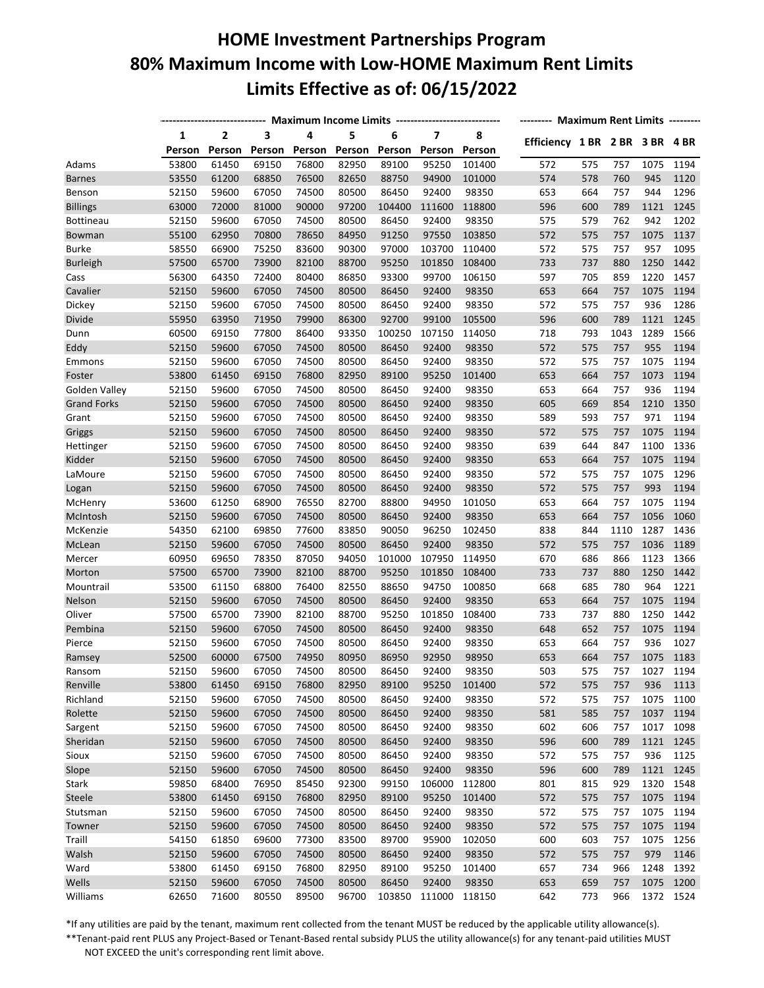## **HOME Investment Partnerships Program 80% Maximum Income with Low-HOME Maximum Rent Limits Limits Effective as of: 06/15/2022**

|                      | ---------------------------- Maximum Income Limits ----------------------------- | -------- Maximum Rent Limits -------- |        |        |        |        |                         |        |                                |     |      |           |      |
|----------------------|----------------------------------------------------------------------------------|---------------------------------------|--------|--------|--------|--------|-------------------------|--------|--------------------------------|-----|------|-----------|------|
|                      | 1                                                                                | $\overline{2}$                        | 3      | 4      | 5      | 6      | $\overline{\mathbf{z}}$ | 8      |                                |     |      |           |      |
|                      | Person                                                                           | Person                                | Person | Person | Person | Person | Person                  | Person | Efficiency 1 BR 2 BR 3 BR 4 BR |     |      |           |      |
| Adams                | 53800                                                                            | 61450                                 | 69150  | 76800  | 82950  | 89100  | 95250                   | 101400 | 572                            | 575 | 757  | 1075      | 1194 |
| <b>Barnes</b>        | 53550                                                                            | 61200                                 | 68850  | 76500  | 82650  | 88750  | 94900                   | 101000 | 574                            | 578 | 760  | 945       | 1120 |
| Benson               | 52150                                                                            | 59600                                 | 67050  | 74500  | 80500  | 86450  | 92400                   | 98350  | 653                            | 664 | 757  | 944       | 1296 |
| <b>Billings</b>      | 63000                                                                            | 72000                                 | 81000  | 90000  | 97200  | 104400 | 111600                  | 118800 | 596                            | 600 | 789  | 1121      | 1245 |
| <b>Bottineau</b>     | 52150                                                                            | 59600                                 | 67050  | 74500  | 80500  | 86450  | 92400                   | 98350  | 575                            | 579 | 762  | 942       | 1202 |
| Bowman               | 55100                                                                            | 62950                                 | 70800  | 78650  | 84950  | 91250  | 97550                   | 103850 | 572                            | 575 | 757  | 1075      | 1137 |
| <b>Burke</b>         | 58550                                                                            | 66900                                 | 75250  | 83600  | 90300  | 97000  | 103700                  | 110400 | 572                            | 575 | 757  | 957       | 1095 |
| <b>Burleigh</b>      | 57500                                                                            | 65700                                 | 73900  | 82100  | 88700  | 95250  | 101850                  | 108400 | 733                            | 737 | 880  | 1250      | 1442 |
| Cass                 | 56300                                                                            | 64350                                 | 72400  | 80400  | 86850  | 93300  | 99700                   | 106150 | 597                            | 705 | 859  | 1220      | 1457 |
| Cavalier             | 52150                                                                            | 59600                                 | 67050  | 74500  | 80500  | 86450  | 92400                   | 98350  | 653                            | 664 | 757  | 1075      | 1194 |
| Dickey               | 52150                                                                            | 59600                                 | 67050  | 74500  | 80500  | 86450  | 92400                   | 98350  | 572                            | 575 | 757  | 936       | 1286 |
| Divide               | 55950                                                                            | 63950                                 | 71950  | 79900  | 86300  | 92700  | 99100                   | 105500 | 596                            | 600 | 789  | 1121      | 1245 |
| Dunn                 | 60500                                                                            | 69150                                 | 77800  | 86400  | 93350  | 100250 | 107150                  | 114050 | 718                            | 793 | 1043 | 1289      | 1566 |
| Eddy                 | 52150                                                                            | 59600                                 | 67050  | 74500  | 80500  | 86450  | 92400                   | 98350  | 572                            | 575 | 757  | 955       | 1194 |
| Emmons               | 52150                                                                            | 59600                                 | 67050  | 74500  | 80500  | 86450  | 92400                   | 98350  | 572                            | 575 | 757  | 1075      | 1194 |
| Foster               | 53800                                                                            | 61450                                 | 69150  | 76800  | 82950  | 89100  | 95250                   | 101400 | 653                            | 664 | 757  | 1073      | 1194 |
| Golden Valley        | 52150                                                                            | 59600                                 | 67050  | 74500  | 80500  | 86450  | 92400                   | 98350  | 653                            | 664 | 757  | 936       | 1194 |
| <b>Grand Forks</b>   | 52150                                                                            | 59600                                 | 67050  | 74500  | 80500  | 86450  | 92400                   | 98350  | 605                            | 669 | 854  | 1210      | 1350 |
| Grant                | 52150                                                                            | 59600                                 | 67050  | 74500  | 80500  | 86450  | 92400                   | 98350  | 589                            | 593 | 757  | 971       | 1194 |
| Griggs               | 52150                                                                            | 59600                                 | 67050  | 74500  | 80500  | 86450  | 92400                   | 98350  | 572                            | 575 | 757  | 1075      | 1194 |
| Hettinger            | 52150                                                                            | 59600                                 | 67050  | 74500  | 80500  | 86450  | 92400                   | 98350  | 639                            | 644 | 847  | 1100      | 1336 |
| Kidder               | 52150                                                                            | 59600                                 | 67050  | 74500  | 80500  | 86450  | 92400                   | 98350  | 653                            | 664 | 757  | 1075      | 1194 |
| LaMoure              | 52150                                                                            | 59600                                 | 67050  | 74500  | 80500  | 86450  | 92400                   | 98350  | 572                            | 575 | 757  | 1075      | 1296 |
| Logan                | 52150                                                                            | 59600                                 | 67050  | 74500  | 80500  | 86450  | 92400                   | 98350  | 572                            | 575 | 757  | 993       | 1194 |
| McHenry              | 53600                                                                            | 61250                                 | 68900  | 76550  | 82700  | 88800  | 94950                   | 101050 | 653                            | 664 | 757  | 1075      | 1194 |
| McIntosh             | 52150                                                                            | 59600                                 | 67050  | 74500  | 80500  | 86450  | 92400                   | 98350  | 653                            | 664 | 757  | 1056      | 1060 |
| McKenzie             | 54350                                                                            | 62100                                 | 69850  | 77600  | 83850  | 90050  | 96250                   | 102450 | 838                            | 844 | 1110 | 1287      | 1436 |
| McLean               | 52150                                                                            | 59600                                 | 67050  | 74500  | 80500  | 86450  | 92400                   | 98350  | 572                            | 575 | 757  | 1036      | 1189 |
| Mercer               | 60950                                                                            | 69650                                 | 78350  | 87050  | 94050  | 101000 | 107950                  | 114950 | 670                            | 686 | 866  | 1123      | 1366 |
| Morton               | 57500                                                                            | 65700                                 | 73900  | 82100  | 88700  | 95250  | 101850                  | 108400 | 733                            | 737 | 880  | 1250      | 1442 |
| Mountrail            | 53500                                                                            | 61150                                 | 68800  | 76400  | 82550  | 88650  | 94750                   | 100850 | 668                            | 685 | 780  | 964       | 1221 |
| Nelson               | 52150                                                                            | 59600                                 | 67050  | 74500  | 80500  | 86450  | 92400                   | 98350  | 653                            | 664 | 757  | 1075      | 1194 |
| Oliver               | 57500                                                                            | 65700                                 | 73900  | 82100  | 88700  | 95250  | 101850                  | 108400 | 733                            | 737 | 880  | 1250      | 1442 |
| Pembina              | 52150                                                                            | 59600                                 | 67050  | 74500  | 80500  | 86450  | 92400                   | 98350  | 648                            | 652 | 757  | 1075      | 1194 |
| Pierce               | 52150                                                                            | 59600                                 | 67050  | 74500  | 80500  | 86450  | 92400                   | 98350  | 653                            | 664 | 757  | 936       | 1027 |
| Ramsey               | 52500                                                                            | 60000                                 | 67500  | 74950  | 80950  | 86950  | 92950                   | 98950  | 653                            | 664 | 757  | 1075      | 1183 |
| Ransom               | 52150                                                                            | 59600                                 | 67050  | 74500  | 80500  | 86450  | 92400                   | 98350  | 503                            | 575 | 757  | 1027      | 1194 |
|                      | 53800                                                                            | 61450                                 | 69150  | 76800  | 82950  | 89100  | 95250                   | 101400 | 572                            |     |      | 936       | 1113 |
| Renville<br>Richland | 52150                                                                            | 59600                                 | 67050  | 74500  | 80500  | 86450  |                         | 98350  |                                | 575 | 757  |           |      |
|                      |                                                                                  |                                       |        |        |        |        | 92400                   |        | 572                            | 575 | 757  | 1075      | 1100 |
| Rolette              | 52150                                                                            | 59600                                 | 67050  | 74500  | 80500  | 86450  | 92400                   | 98350  | 581                            | 585 | 757  | 1037      | 1194 |
| Sargent              | 52150                                                                            | 59600                                 | 67050  | 74500  | 80500  | 86450  | 92400                   | 98350  | 602                            | 606 | 757  | 1017      | 1098 |
| Sheridan             | 52150                                                                            | 59600                                 | 67050  | 74500  | 80500  | 86450  | 92400                   | 98350  | 596                            | 600 | 789  | 1121      | 1245 |
| Sioux                | 52150                                                                            | 59600                                 | 67050  | 74500  | 80500  | 86450  | 92400                   | 98350  | 572                            | 575 | 757  | 936       | 1125 |
| Slope                | 52150                                                                            | 59600                                 | 67050  | 74500  | 80500  | 86450  | 92400                   | 98350  | 596                            | 600 | 789  | 1121      | 1245 |
| Stark                | 59850                                                                            | 68400                                 | 76950  | 85450  | 92300  | 99150  | 106000                  | 112800 | 801                            | 815 | 929  | 1320      | 1548 |
| Steele               | 53800                                                                            | 61450                                 | 69150  | 76800  | 82950  | 89100  | 95250                   | 101400 | 572                            | 575 | 757  | 1075      | 1194 |
| Stutsman             | 52150                                                                            | 59600                                 | 67050  | 74500  | 80500  | 86450  | 92400                   | 98350  | 572                            | 575 | 757  | 1075      | 1194 |
| Towner               | 52150                                                                            | 59600                                 | 67050  | 74500  | 80500  | 86450  | 92400                   | 98350  | 572                            | 575 | 757  | 1075      | 1194 |
| Traill               | 54150                                                                            | 61850                                 | 69600  | 77300  | 83500  | 89700  | 95900                   | 102050 | 600                            | 603 | 757  | 1075      | 1256 |
| Walsh                | 52150                                                                            | 59600                                 | 67050  | 74500  | 80500  | 86450  | 92400                   | 98350  | 572                            | 575 | 757  | 979       | 1146 |
| Ward                 | 53800                                                                            | 61450                                 | 69150  | 76800  | 82950  | 89100  | 95250                   | 101400 | 657                            | 734 | 966  | 1248      | 1392 |
| Wells                | 52150                                                                            | 59600                                 | 67050  | 74500  | 80500  | 86450  | 92400                   | 98350  | 653                            | 659 | 757  | 1075      | 1200 |
| Williams             | 62650                                                                            | 71600                                 | 80550  | 89500  | 96700  | 103850 | 111000                  | 118150 | 642                            | 773 | 966  | 1372 1524 |      |

\*If any utilities are paid by the tenant, maximum rent collected from the tenant MUST be reduced by the applicable utility allowance(s).

\*\*Tenant-paid rent PLUS any Project-Based or Tenant-Based rental subsidy PLUS the utility allowance(s) for any tenant-paid utilities MUST NOT EXCEED the unit's corresponding rent limit above.